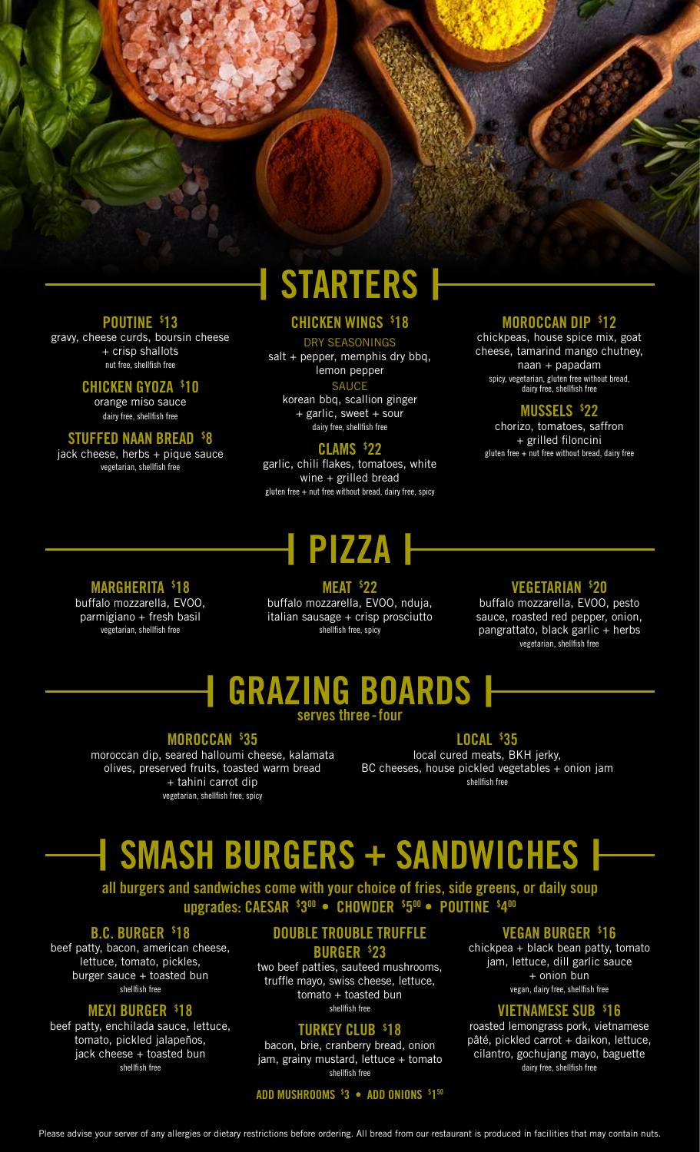# **| STARTERS |**

#### **POUTINE \$ 13**

gravy, cheese curds, boursin cheese + crisp shallots nut free, shellfish free

#### **CHICKEN GYOZA \$ 10**

orange miso sauce dairy free, shellfish free

### **STUFFED NAAN BREAD \$ 8**

jack cheese, herbs + pique sauce vegetarian, shellfish free

### **CHICKEN WINGS \$ 18**

#### DRY SEASONINGS

 $salt + pepper, memphis dry bbq,$ lemon pepper

#### **SAUCE**

korean bbq, scallion ginger + garlic, sweet + sour dairy free, shellfish free

### **CLAMS \$ 22**

garlic, chili flakes, tomatoes, white wine + grilled bread gluten free  $+$  nut free without bread, dairy free, spicy

# **| PIZZA |**

**MEAT \$ 22** buffalo mozzarella, EVOO, nduja, italian sausage + crisp prosciutto

#### **MOROCCAN DIP \$ 12**

chickpeas, house spice mix, goat cheese, tamarind mango chutney, naan + papadam spicy, vegetarian, gluten free without bread, dairy free, shellfish free

## **MUSSELS \$ 22**

chorizo, tomatoes, saffron + grilled filoncini gluten free  $+$  nut free without bread, dairy free

## **MARGHERITA \$ 18**

buffalo mozzarella, EVOO, parmigiano + fresh basil vegetarian, shellfish free

shellfish free, spicy

#### **VEGETARIAN \$ 20**

buffalo mozzarella, EVOO, pesto sauce, roasted red pepper, onion, pangrattato, black garlic + herbs vegetarian, shellfish free

# **| GRAZING BOARDS |**

**serves three-four**

#### **MOROCCAN \$ 35**

moroccan dip, seared halloumi cheese, kalamata olives, preserved fruits, toasted warm bread + tahini carrot dip vegetarian, shellfish free, spicy

#### **LOCAL \$ 35**

local cured meats, BKH jerky, BC cheeses, house pickled vegetables + onion jam shellfish free

# **| SMASH BURGERS + SANDWICHES |**

**all burgers and sandwiches come with your choice of fries, side greens, or daily soup upgrades: CAESAR \$ 300 • CHOWDER \$ 500 • POUTINE \$ 400**

## **B.C. BURGER \$ 18**

beef patty, bacon, american cheese, lettuce, tomato, pickles, burger sauce + toasted bun shellfish free

#### **MEXI BURGER \$ 18**

beef patty, enchilada sauce, lettuce, tomato, pickled jalapeños, jack cheese + toasted bun shellfish free

# **DOUBLE TROUBLE TRUFFLE BURGER \$ 23**

two beef patties, sauteed mushrooms, truffle mayo, swiss cheese, lettuce, tomato + toasted bun shellfish free

#### **TURKEY CLUB \$ 18**

bacon, brie, cranberry bread, onion jam, grainy mustard, lettuce + tomato shellfish free

**ADD MUSHROOMS \$ 3 • ADD ONIONS \$ 150**

#### **VEGAN BURGER \$ 16**

chickpea + black bean patty, tomato jam, lettuce, dill garlic sauce + onion bun vegan, dairy free, shellfish free

#### **VIETNAMESE SUB \$ 16**

roasted lemongrass pork, vietnamese pâté, pickled carrot + daikon, lettuce, cilantro, gochujang mayo, baguette dairy free, shellfish free

Please advise your server of any allergies or dietary restrictions before ordering. All bread from our restaurant is produced in facilities that may contain nuts.